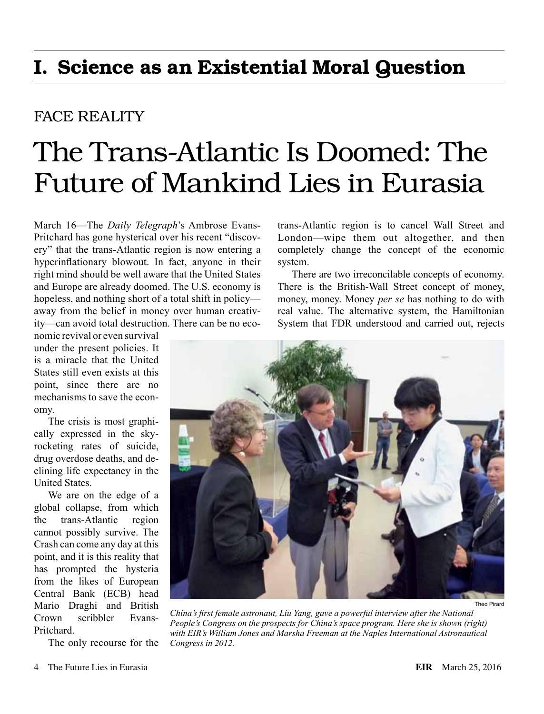## I. Science as an Existential Moral Question

## FACE REALITY

## The Trans-Atlantic Is Doomed: The Future of Mankind Lies in Eurasia

March 16—The *Daily Telegraph*'s Ambrose Evans-Pritchard has gone hysterical over his recent "discovery" that the trans-Atlantic region is now entering a hyperinflationary blowout. In fact, anyone in their right mind should be well aware that the United States and Europe are already doomed. The U.S. economy is hopeless, and nothing short of a total shift in policy away from the belief in money over human creativity—can avoid total destruction. There can be no eco-

nomic revival or even survival under the present policies. It is a miracle that the United States still even exists at this point, since there are no mechanisms to save the economy.

The crisis is most graphically expressed in the skyrocketing rates of suicide, drug overdose deaths, and declining life expectancy in the United States.

We are on the edge of a global collapse, from which the trans-Atlantic region cannot possibly survive. The Crash can come any day at this point, and it is this reality that has prompted the hysteria from the likes of European Central Bank (ECB) head Mario Draghi and British Crown scribbler Evans-**Pritchard** 

The only recourse for the

trans-Atlantic region is to cancel Wall Street and London—wipe them out altogether, and then completely change the concept of the economic system.

There are two irreconcilable concepts of economy. There is the British-Wall Street concept of money, money, money. Money *per se* has nothing to do with real value. The alternative system, the Hamiltonian System that FDR understood and carried out, rejects



*China's first female astronaut, Liu Yang, gave a powerful interview after the National People's Congress on the prospects for China's space program. Here she is shown (right) with EIR's William Jones and Marsha Freeman at the Naples International Astronautical Congress in 2012.*